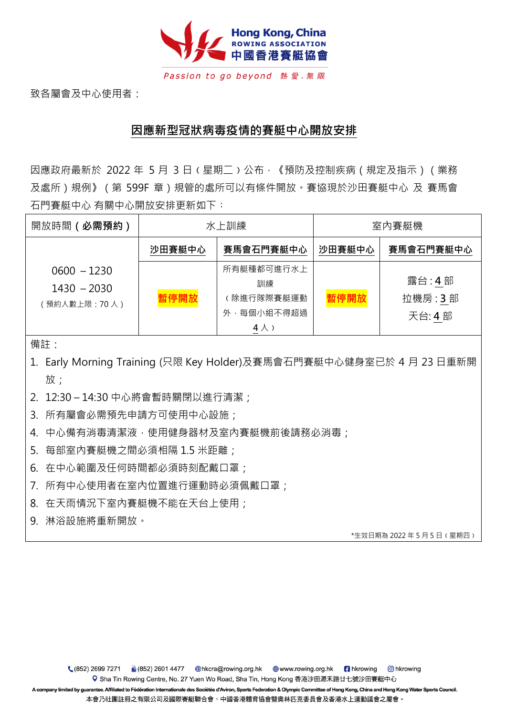

Passion to go beyond 熱愛.無限

致各屬會及中心使用者:

## **因應新型冠狀病毒疫情的賽艇中心開放安排**

因應政府最新於 2022 年 5 月 3 日 (星期二) 公布, 《預防及控制疾病 (規定及指示) (業務 及處所)規例》(第 599F 章)規管的處所可以有條件開放。賽協現於沙田賽艇中心 及 賽馬會 石門賽艇中心 有關中心開放安排更新如下:

| 開放時間 (必需預約)                                   | 水上訓練   |                                                           | 室内賽艇機  |                            |
|-----------------------------------------------|--------|-----------------------------------------------------------|--------|----------------------------|
|                                               | 沙田賽艇中心 | 賽馬會石門賽艇中心                                                 | 沙田賽艇中心 | 賽馬會石門賽艇中心                  |
| $0600 - 1230$<br>$1430 - 2030$<br>預約人數上限:70人) | 暫停開放   | 所有艇種都可進行水上<br>訓練<br>除進行隊際賽艇運動<br>外,每個小組不得超過<br>$4 \wedge$ | 暫停開放   | 露台:4部<br>拉機房: 3部<br>天台: 4部 |

備註:

- 1. Early Morning Training (只限 Key Holder)及賽馬會石門賽艇中心健身室已於 4 月 23 日重新開 放;
- 2. 12:30 14:30 中心將會暫時關閉以進行清潔;
- 3. 所有屬會必需預先申請方可使用中心設施;
- 4. 中心備有消毒清潔液,使用健身器材及室內賽艇機前後請務必消毒;
- 5.每部室內賽艇機之間必須相隔 1.5 米距離;
- 6. 在中心範圍及任何時間都必須時刻配戴口罩;
- 7. 所有中心使用者在室內位置進行運動時必須佩戴口罩;
- 8. 在天雨情況下室內賽艇機不能在天台上使用;
- 9. 淋浴設施將重新開放。

\*生效日期為 2022 年 5 月 5 日﹙星期四﹚

₹ (852) 2699 7271 C hkrowing Q Sha Tin Rowing Centre, No. 27 Yuen Wo Road, Sha Tin, Hong Kong 香港沙田源禾路廿七號沙田賽艇中心

A company limited by guarantee. Affiliated to Fédération Internationale des Sociétés d'Aviron, Sports Federation & Olympic Committee of Hong Kong, China and Hong Kong Water Sports Council. 本會乃社團註冊之有限公司及國際賽艇聯合會、中國香港體育協會暨奧林匹克委員會及香港水上運動議會之屬會。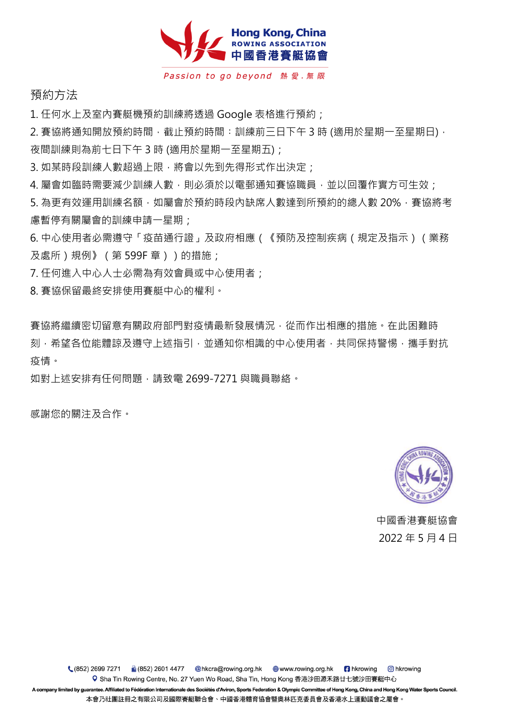

Passion to go beyond 熱愛.無限

預約方法

1. 任何水上及室內賽艇機預約訓練將透過 Google 表格進行預約;

2. 賽協將通知開放預約時間, 截止預約時間: 訓練前三日下午 3 時 (適用於星期一至星期日), 夜間訓練則為前七日下午 3 時 (適用於星期一至星期五);

3. 如某時段訓練人數超過上限,將會以先到先得形式作出決定;

4. 屬會如臨時需要減少訓練人數,則必須於以電郵通知賽協職員,並以回覆作實方可生效;

5. 為更有效運用訓練名額,如屬會於預約時段內缺席人數達到所預約的總人數 20%, 賽協將考 慮暫停有關屬會的訓練申請一星期;

6. 中心使用者必需遵守「疫苗通行證」及政府相應(《預防及控制疾病(規定及指示)(業務 及處所)規例》(第599F 章))的措施;

7. 任何進入中心人士必需為有效會員或中心使用者;

8. 賽協保留最終安排使用賽艇中心的權利。

賽協將繼續密切留意有關政府部門對疫情最新發展情況,從而作出相應的措施。在此困難時 刻,希望各位能體諒及導守上述指引,並通知你相識的中心使用者,共同保持警惕,攜手對抗 疫情。

如對上述安排有任何問題,請致電 2699-7271 與職員聯絡。

感謝您的關注及合作。



中國香港賽艇協會 2022 年 5 月 4 日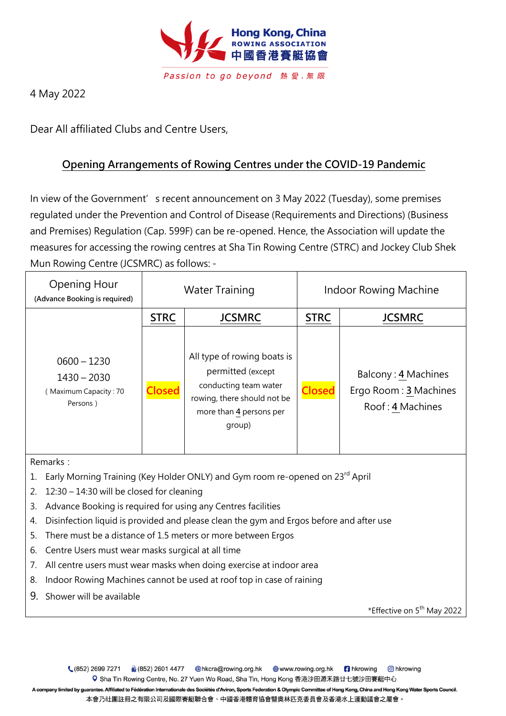

4 May 2022

Dear All affiliated Clubs and Centre Users,

## **Opening Arrangements of Rowing Centres under the COVID-19 Pandemic**

In view of the Government's recent announcement on 3 May 2022 (Tuesday), some premises regulated under the Prevention and Control of Disease (Requirements and Directions) (Business and Premises) Regulation (Cap. 599F) can be re-opened. Hence, the Association will update the measures for accessing the rowing centres at Sha Tin Rowing Centre (STRC) and Jockey Club Shek Mun Rowing Centre (JCSMRC) as follows: -

| Opening Hour<br>(Advance Booking is required)                       | <b>Water Training</b> |                                                                                                                                               | <b>Indoor Rowing Machine</b> |                                                                  |  |
|---------------------------------------------------------------------|-----------------------|-----------------------------------------------------------------------------------------------------------------------------------------------|------------------------------|------------------------------------------------------------------|--|
|                                                                     | <b>STRC</b>           | <b>JCSMRC</b>                                                                                                                                 | <b>STRC</b>                  | <b>JCSMRC</b>                                                    |  |
| $0600 - 1230$<br>$1430 - 2030$<br>(Maximum Capacity: 70<br>Persons) | <b>Closed</b>         | All type of rowing boats is<br>permitted (except<br>conducting team water<br>rowing, there should not be<br>more than 4 persons per<br>group) | <b>Closed</b>                | Balcony: 4 Machines<br>Ergo Room: 3 Machines<br>Roof: 4 Machines |  |

Remarks:

- 1. Early Morning Training (Key Holder ONLY) and Gym room re-opened on 23<sup>rd</sup> April
- 2. 12:30 14:30 will be closed for cleaning
- 3. Advance Booking is required for using any Centres facilities
- 4. Disinfection liquid is provided and please clean the gym and Ergos before and after use
- 5. There must be a distance of 1.5 meters or more between Ergos
- 6. Centre Users must wear masks surgical at all time
- 7. All centre users must wear masks when doing exercise at indoor area
- 8. Indoor Rowing Machines cannot be used at roof top in case of raining
- 9. Shower will be available

\*Effective on 5<sup>th</sup> May 2022

€ (852) 2699 7271 ■ (852) 2601 4477 @hkcra@rowing.org.hk  www.rowing.org.hk **n** hkrowing C hkrowing Q Sha Tin Rowing Centre, No. 27 Yuen Wo Road, Sha Tin, Hong Kong 香港沙田源禾路廿七號沙田賽艇中心 A company limited by guarantee. Affiliated to Fédération Internationale des Sociétés d'Aviron, Sports Federation & Olympic Committee of Hong Kong, China and Hong Kong Water Sports Council. 本會乃社團註冊之有限公司及國際賽艇聯合會、中國香港體育協會暨奧林匹克委員會及香港水上運動議會之屬會。